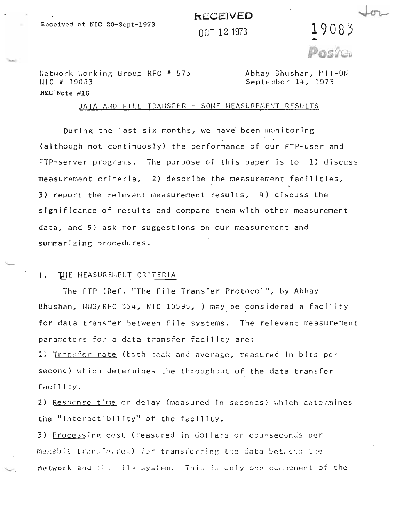# **kECEIVED**

 $0c$ <sub>T</sub> 12 1973  $19083$ 

Network Working Group RFC # 573 Abhay Bhushan, MIT-DR IJIC # 19033 Septe~ber 14, 1973 NMG 'Note #16

### DATA AND FILE TRANSFER - SOME MEASUREMENT RESULTS

During the last six months, we have been monitoring (although not continuosly) the performance of our FTP-user and  $FTP-server$  programs. The purpose of this paper is to 1) discuss measurement criteria,  $\overline{2}$ ) describe the measurement facilities, 3) report the relevant measurement results,  $4$ ) discuss the significance of results and compare them with other measurement data, and 5) ask for suggestions on our measurement and summarizing procedures.

# I. THE MEASUREMENT CRITERIA

The FTP (Ref. "The File Transfer Protocol", by Abhay Bhushan, NUG/RFC 354, NIC 10596, ) may be considered a facility for data transfer between file systems. The relevant measurement parameters for a data transfer facility are:

1) Trongfer rate (both peak and average, measured in bits per second) which determines the throughput of the data transfer facil ity.

2) Response time or delay (measured in seconds) which determines the "interactibility" of the facility.

3) Processing cost (measured in dOllars or cpu-seccnds per megablic transferred) for transferring the data betwoon the ne twork and the file system. This is only one component of the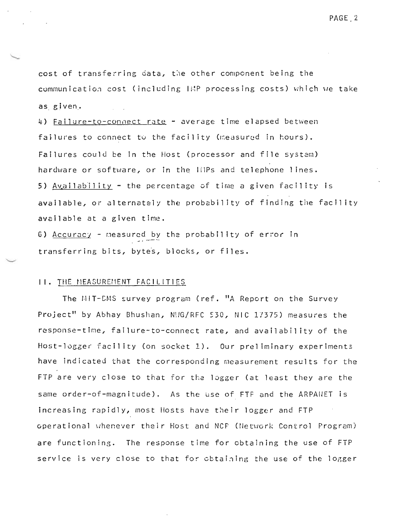cost of transferring data, the other component being the communication cost (including lMP processing costs) which we take as given.

4) Failure-to-connect rate - average time elapsed between failures to connect to the facility (measured in hours). Failures could be in the Host (processor and file system) hardware or software, or in the lilPs and telephone lines. 5) Availability - the percentage of time a given facility is available, or alternately the probability of finding the facility available at a given time.

G) <u>Accuracy</u> - measured by the probability of error in transferring bits, bytes, blocks, or files.

### II. THE MEASUREMENT FACILITIES

The MIT-CMS survey program (ref. "A Report on the Survey Project" by Abhay Bhushan, N!/G/RFC 530, NIC 17375) measures the response-time, failure-to-connect rate, and availability of the Host-logger facility (on socket 1). Our preliminary experiments have indicated that the corresponding measurement results for the FTP are very close to that for the logger (at least they are the same order-of-magnitude). As the use of FTF and the ARPANET is increasing rapidly, most Hosts have their logger and FTP operational whenever their Host and NCF (Network Control Program) are functioning. The response time for obtaining the use of FiP service is very close to that for obtaining the use of the logger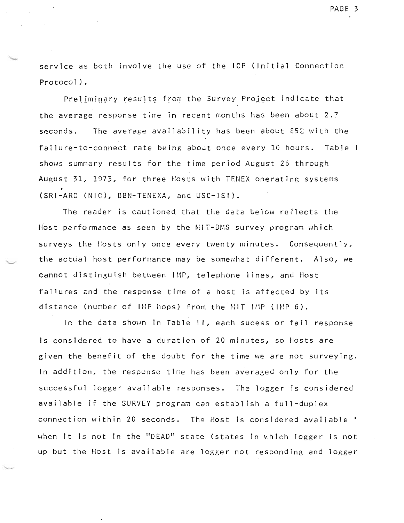service as both involve the use of the ICP (Initial Connection Protocol).

Preliminary results from the Survey Project indicate that the average response time in recent months has been about  $2.7$ seconds. The average availability has been about  $85\%$  with the failure-to-connect rate being about once every 10 hours. Table I shews summary results for the time period August 26 through August 31, 1973, for three Hosts with TENEX operating systems (SRI-ARC (NIC), BBN-TENEXA, and USC-lSI).

The reader is cautioned that the data below reflects the Host performance as seen by the MIT-DMS survey program which surveys the Hosts only once every twenty minutes. Consequently, the actual host performance may be somewhat different. Also, we cannot distinguish between IMP, telephone 1 ines, and Host failures and the response time of a host is affected by its distance (number of INP hops) from the  $\text{NIT}$  IMP (IMP 6).

--

In the data shown in Table II, each sucess or fail response Is considered to have a duration of 20 minutes, so Hosts are given the benefit of the doubt for the time we are not surveying. In addition, the response time has been averaged only for the successful logger available responses. The logger is considered available if the SURVEY program can establish a full-duplex connection within 20 seconds. The Host is considered available  $\cdot$ when it is not in the "DEAD" state (states in which logger is not up but the Host is available are logger not responding and logger

PAGE 3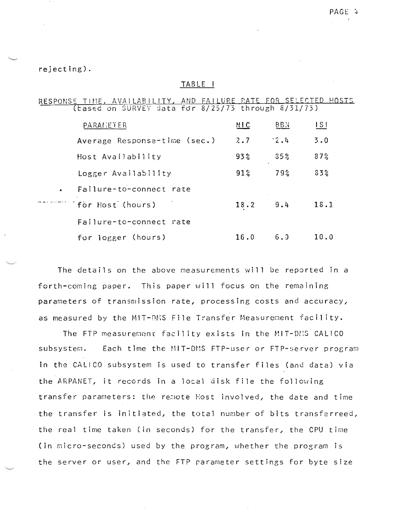## rejecting).

### TABLE I

RESPONSE TIME, AVAILABILITY, AND FAILURE RATE FOR SELECTED HOSTS

| PARANETER                    | MIC          | <b>BBN</b>    | S    |
|------------------------------|--------------|---------------|------|
| Average Response-time (sec.) | 2.7          | $^{\circ}2.4$ | 3.0  |
| Host Availability            | 93%          | 35%           | 87%  |
| Logger Availability          | $91\%$       | 79%           | 33%  |
| . Failure-to-connect rate    |              |               |      |
| "for Host (hours)            | $18.2$ $9.4$ |               | 18.1 |
| Failure-to-connect rate      |              |               |      |
| for logger (hours)           | 16.0         | 6.3           | 10.0 |

The details on the above measurements will be reported in a forth-coming paper. This paper will focus on the remaining parameters of transmission rate, processing costs and accuracy, as measured by the MIT-DMS File Transfer Measurement facility.

The FTP measurement facility exists in the MIT-DMS CALICO Each time the MIT-DMS FTP-user or FTP-server program subsystem. in the CALICO subsystem is used to transfer files (and data) via the ARPANET, it records in a local disk file the following transfer parameters: the remote Host involved, the date and time the transfer is initiated, the total number of bits transferreed, the real time taken (in seconds) for the transfer, the CPU time (in micro-seconds) used by the program, whether the program is the server or user, and the FTP parameter settings for byte size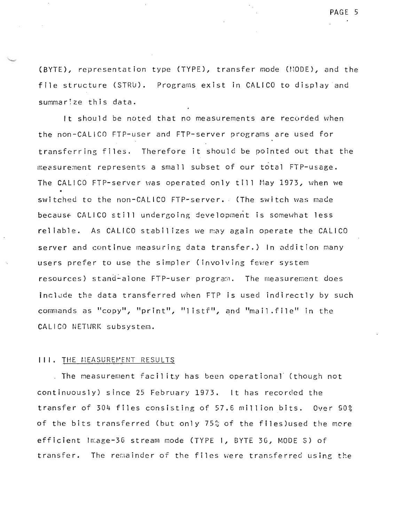(BYTE), representation type (TYPE), transfer mode (NODE), and the file structure (STRU). Programs exist in CALICO to display and summar: ze this data.

It should be noted that no measurements are recorded when the non-CALICO FTP-user and FTP-server programs are used for transferring files. Therefore it should be pointed out that the measurement represents a small subset of our total FTP-usage. The CALICO FTP-server was operated only till May 1973, when we switched to the non-CALICO FTP-server. (The switch was made because CALICO still undergoing development is somewhat less reliable. As CALICO stabilizes we may again operate the CALICO server and continue measuring data transfer.) In addition many users prefer to use the simpler (involving fewer system resources) stand-alone FTP-user program. The measurement does inclade the data transferred when FTP is used indirectly by such commands as "copy", "print", "listf", and "mail.file" in the CALICO NETURK subsystem.

#### **III.** THE MEASUREMENT RESULTS

. The measurement facility has been operational (though not continuously) since 25 February 1973. It has recorded the transfer of 304 files consisting of 57.6 million bits. Over 90% of the bits transferred (but only  $75\%$  of the files)used the more efficient Image-36 stream mode (TYPE 1, BYTE 36, MODE S) of transfer. The remainder of the files were transferred using the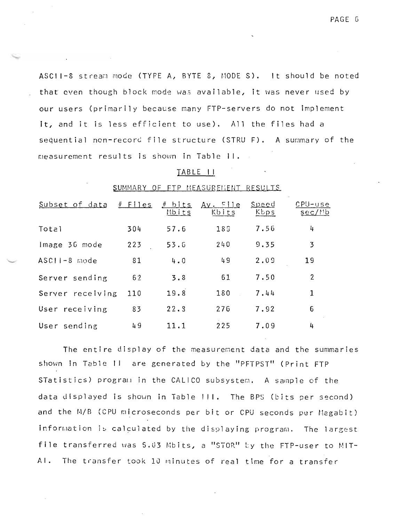ASCII-8 stream mode (TYPE A, BYTE 8, MODE S). It should be noted that even though block mode was available, it was never used by our users (primarily because many FTP-servers do not implement it, and it is less efficient to use). All the files had a sequential non-record file structure (STRU F). A summary of the measurement results is shown in Table II.

## TABLE II

| SUMMARY<br><u>FTP MEASUREMENT RESULTS</u> |
|-------------------------------------------|
|-------------------------------------------|

| Subset of data   | $#$ Files | <u># bits</u><br>Mbits | $A_v$ File<br>Kbits | Speed<br>Kbps | $CPU - use$<br>sec/Mb |
|------------------|-----------|------------------------|---------------------|---------------|-----------------------|
| Total            | 304       | 57.6                   | 18 <sub>3</sub>     | 7.56          | 4                     |
| Image 36 mode    | 223       | 53.6                   | 240                 | 9.35          | 3                     |
| $ASCHI - 8$ mode | 81        | 4.0                    | 49                  | 2.09          | 19                    |
| Server sending   | 62        | 3.8                    | 61                  | 7.50          | 2                     |
| Server receiving | 110       | 19.8                   | 180                 | 7.44          | 1                     |
| User receiving   | 83        | 22.3                   | 276                 | 7.92          | 6                     |
| User sending     | 49        | 11.1                   | 225                 | 7.09          | 4                     |

The entire display of the measurement data and the summaries shown in Table 11 are generated by the "PFTPST" (Print FTP STatistics) program in the CALICO subsystem. A sample of the data displayed is shown in Table !!!. The BPS (bits per second) and the M/B (CPU microseconds per bit or CPU seconds per Megabit) information is calculated by the displaying program. The largest file transferred was 5.03 Mbits, a "STOR" by the FTP-user to MIT-Al. The transfer took 10 minutes of real time for a transfer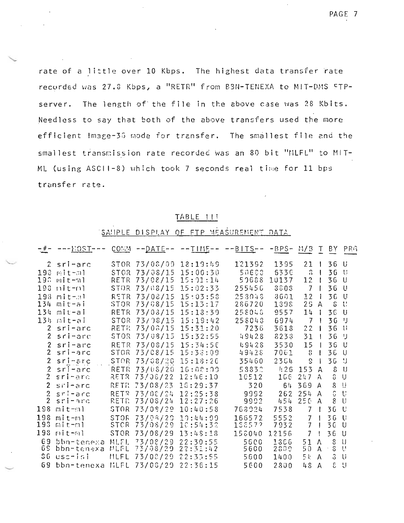rate of a little over 10 Kbps. The highest data transfer rate recorded was 27.8 Kbps, a "RETR" from B3N-TENEXA to MIT-DMS FTPserver. The length of the file in the above case was 28 Kbits. Needless to say that both of the above transfers used the more efficient Image-36 mode for transfer. The smallest file and the smallest transmission rate recorded was an 80 bit "MLFL" to MIT-ML (using ASCII-8) which took 7 seconds real time for 11 bps transfer rate.

## TABLE !!!

# SANPLE DISPLAY OF FTP MEASUREMENT DATA

| $-$ # $-$      | --- HOST--- COMM -- DATE-- -- TIME-- -- BITS-- -BPS- M/B T BY PRG |             |                   |                        |            |       |                                      |              |                 |              |
|----------------|-------------------------------------------------------------------|-------------|-------------------|------------------------|------------|-------|--------------------------------------|--------------|-----------------|--------------|
|                | 2 sri-arc                                                         |             |                   | STOR 73/08/09 18:19:49 | 121392     | 1395  | 21                                   |              | 36 U            |              |
|                | $193$ mit-al                                                      | <b>STGR</b> | 73/08/15          | 15:00:30               | 50688      | 533C  | $\Omega$                             |              | 36 U            |              |
| 19.3           | mit-ml                                                            | RETR        | 73/08/15          | 15:21:14               | 50688      | 10137 | $12 \,$                              |              | 36              | U            |
|                | 198 nit-nl                                                        | STOR.       | 73/08/15          | 15:02:33               | 255456     | 3803  | $\overline{7}$                       |              | 36 U            |              |
|                | $193$ mit- $n1$                                                   | RETR        | 73/08/15          | 15:03:58               | $2530 + 3$ | 3601  | 12                                   | - 1          | 36              | $\cup$       |
|                | 134 mit-ai                                                        | STOR        | 73/08/15          | 15:13:17               | 286720     | 1398  | 2 <sub>5</sub>                       | $\mathsf{A}$ | δ               | U            |
|                | 134 mit-ai                                                        | RETR        | 73/08/15          | 15:13:39               | 258048     | 9557  | 14                                   |              | $36 -$          | U            |
|                | 134 mit-ai                                                        | <b>STOR</b> | 73/98/15          | 15:19:42               | 258043     | 6974  | $\overline{7}$                       |              | 3G <sup>J</sup> |              |
| 2 <sup>1</sup> | sri-arc                                                           | RETR.       | 73/08/15          | 15:31:20               | 7236       | 3618  | 22                                   |              | 36              | -11          |
| $\mathbf{2}$   | sri-arc                                                           | STOR        | 73/08/15          | 15:32:55               | 49428      | 8233  | 31                                   |              | 36 IJ           |              |
| $\mathbf{2}$   | $s$ ri-arc                                                        | RETR        | 73/08/15          | 15:34:56               | 49428      | 3530  | 15                                   |              | 36 <sub>1</sub> | U            |
| $\overline{2}$ | sri-arc                                                           | <b>STOR</b> | 73/08/15          | 15:38:09               | 49428      | 7061  | 8                                    | J.           | 36              | -U           |
| $2^{\circ}$    | $sri$ - $\epsilon$ rc                                             | <b>STOR</b> | 73/08/20 15:18:26 |                        | 35460      | 2364  | S.                                   |              | 36              | - 9          |
| $\overline{2}$ | $sri$ -arc                                                        | RETR        | 73/08/20          | 16:08:09               | 58832      | h26   | 153                                  | A            | 8               | $\cup$       |
|                | 2 sri-arc                                                         | RETR        | 73/08/22          | 12:46:10               | 10512      | 166   | 247                                  | $\mathbf{A}$ | 8               | IJ           |
| $2 -$          | sii-arc                                                           | RE TRI      | 73/08/23          | 16:29:37               | 320        | 6!    | 369                                  | $\mathbf{A}$ | 8               | -U           |
| $2 -$          | $s$ $ri$ -arc                                                     | <b>RETR</b> | 73/08/24          | 12:25:38               | 9992       | 262   | $254$ A                              |              | S               | U            |
| $\overline{2}$ | sri-arc                                                           | RETR        | 73/08/24          | 12:27:26               | 9992       | 454   | 250 A                                |              | 8               | $\mathbf{U}$ |
| 198            | mit-ml                                                            | <b>STOR</b> | 73/08/29          | 10:40:58               | 768924     | 7538  | $\overline{7}$                       | I.           | 36              | - U          |
| 198            | $mit -ml$                                                         | <b>STOR</b> | 73/98/29          | 10:44:09               | 166572     | 5552  | 7                                    |              | 36              | - U          |
| 193            | mit-ml                                                            | STCR        | 73/08/29          | 10:54:32               | 186572     | 7932  | 7                                    |              | 36              | - U          |
| 198            | mit-ml                                                            | STOR        | 73/08/29          | 13:48:18               | 158040     | 12156 | $\overline{7}$                       |              | 36              | - U          |
| 69             | bbn-tenexa MLFL                                                   |             | 73/08/29          | 22:30:55               | 5500       | 1366  | 51                                   | $\Lambda$    | S               | $\cup$       |
| 6 S            | bbn-tenexa MLFL 73/08/29                                          |             |                   | 22:31:42               | 5600       | 2800  | 50 A                                 |              | 3               | $\mathbf{U}$ |
| 86.            | uscrisi                                                           |             | MLFL 73/08/29     | 22:35:55               | 5600       | 1400  | 51,                                  | $\mathsf{A}$ | 3               | U            |
|                | 69 bhn-tenexa                                                     |             | HIEL 73/08/29     | 22.36.15               | 5600       | 2800  | $\mathbf{h} \mathbf{S} = \mathbf{A}$ |              | $\mathcal{L}$   | $\pm 1$      |

PAGE 7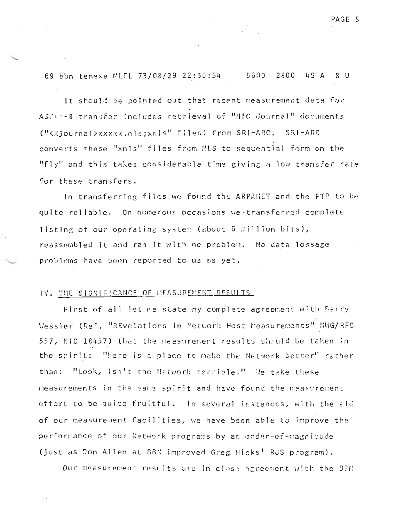69 bbn-tenexa MLFL 73/08/29 22:36:54 5600 2800 49 A 8 U

It should be pointed out that recent measurement data for ASCC:-8 transfer includes retrieval of "NIC Journal" documents ("<Xjournal>xxxx<.nls;xnls" files) from SRI-ARC. SRI-ARC converts these "xnls" files from NLS to sequential form on the "fly" and this takes considerable time giving a low transfer rate for these transfers.

In transferring files we found the ARPANET and the FTP to be quite reliable. On numerous occasions we transferred complete listing of our operating system (about 6 million bits), reassembled it and ran it with no problem. No data lossage problems have been reported to us as yet.

## IV. THE SIGNIFICANCE OF MEASUREMENT RESULTS.

First of all let me state my complete agreement with Barry Messler (Ref. "REvelations in Network Host Measurements" NWG/RFC 557, MIC 18457) that the measurement results should be taken in the spirit: "Here is a place to make the Network better" rather than: "Look, isn't the Metwork terrible." We take these measurements in the same spirit and have found the measurement effort to be quite fruitful. In several instances, with the aid of our measurement facilities, we have been able to improve the performance of our Network programs by an order-of-magnitude (just as Don Allen at BBM improved Greg Hicks' RJS program).

Our measurement results are in close agreement with the BBN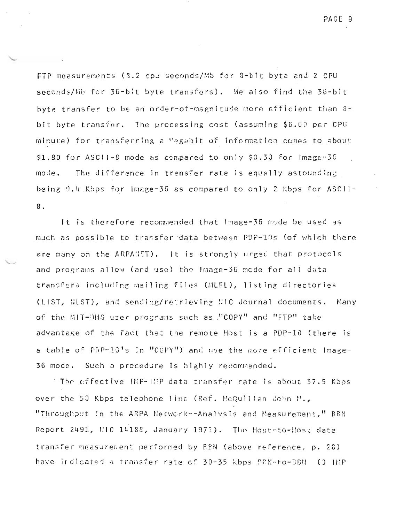PAGE 9

FTP measurements (8.2 cpd seconds/Mb for 8-bit byte and 2 CPU seconds/Mb for 36-bit byte transfers). We also find the 36-bit byte transfer to be an order-of-magnitude more efficient than 3bit byte transfer. The processing cost (assuming \$6.00 per CPU minute) for transferring a "egabit of information comes to about \$1.90 for ASCII-8 mode as compared to only \$0.30 for Image-36 mosie. The difference in transfer rate is equally astounding being 9.4 Kbps for Image-36 as compared to only 2 Kbps for ASCII- $8.$ 

It is therefore recommended that Image-36 mode be used as much as possible to transfer data between PDF-19s (of which there are many on the ARPANET). It is strongly urged that protocols and programs allow (and use) the Image-36 mode for all data transfers including mailing files (MLFL), listing directories (LIST, NLST), and sending/retrieving NIC Journal documents. Many of the MIT-DMS user programs such as "COPY" and "FTP" take advantage of the fact that the remote Host is a PDP-10 (there is a table of PDP-10's in "COPY") and use the more efficient Image-36 mode. Such a procedure is highly recommended.

The effective HMP-HMP data transfer rate is about 37.5 Kbps. " over the 50 Kbps telephone line (Ref. McQuillan John M., "Throughput in the ARPA Network--Analysis and Measurement," BBN Report 2491, NIC 14188, January 1971). The Host-to-Host data transfer measurement performed by BBN (above reference, p. 28) have indicated a transfer rate of 30-35 kbps BBN-to-3BN (0 IMP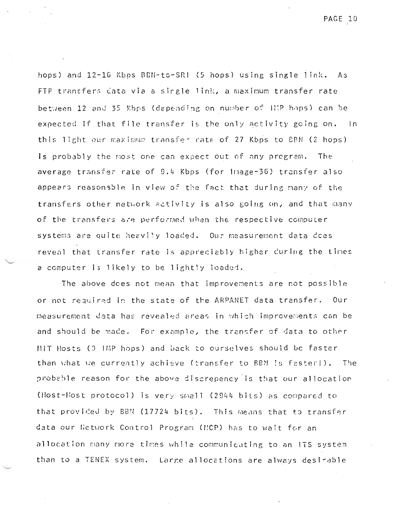PAGE 10

hops) and 12-16 Kbps BBN-to-SRI (5 hops) using single link. As FTP transfers data via a single link, a maximum transfer rate between 12 and 35 Kbps (depending on number of lilP hops) can be expected if that file transfer is the only activity going on. In this light our maximum transfer rate of 27 Kbps to BBN (2 hops) is probably the most one can expect out of any program. The average transfer rate of 9.4 Kbps (for Image-36) transfer also appears reasonable in view of the fact that during many of the transfers other network activity is also going on, and that many of the transfers are performed when the respective computer. systems are quite heavily loaded. Our measurement data does reveal that transfer rate is appreciably higher during the times a computer is likely to be lightly loaded.

The above does not mean that improvements are not possible or not required in the state of the ARPANET data transfer. Our measurement data has revealed areas in which improvements can be and should be made. For example, the transfer of data to other MIT Hosts (3 IMP hops) and back to eurselves should be faster than what we currently achieve (transfer to BBN is faster!). The probable reason for the above discrepency is that our allocation (Host-liost protocol) is very small (2944 bits) as compared to that provided by BBN  $(17724~bits)$ . This means that to transfer data our Network Control Program (MCP) has to wait for an allocation many more times while communicating to an ITS system than to a TENEX system. Large allocations are always desirable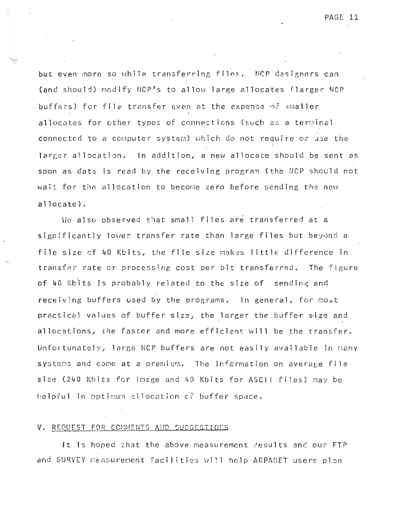PAGE 11

but even more so while transferring files. NCP designers can (and should) modify NCP<sup>I</sup>s to allow large allocates (larger NCP buffers) for file transfer even at the expense of sm<mark>aller</mark> allocates for other types of connections (such as a terminal connected to a computer system) which do not require or use the larger allocation. In addition, a new allocate should be sent as soon as data is read by the receiving program (the NCP should not wait for the allocation to become zero before sending the new allocate) .

We also observed that small files are transferred at a significantly lower transfer rate than large files but beyond a file size of 40 Kbits, the file size makes little difference in transfer rate or processing cost per bit transferred. The figure of 40 Kbits is probably related to the size of sending and receiving buffers used by the programs. In general, for most practical values of buffer size, the larger the buffer size and allocations, the faster and more efficient will be the transfer. Unfortunately, large NCP buffers are not easily available in many systems and come at a premium. The information on average file size (240 Kbits for lmage and 40 Kbits for ASCII files) may be helpful in optimum allocation of buffer space.

#### V. REQUEST FOR COMMENTS AND SUGGESTIONS

It Is hoped that the above measurement results and our FTP and SURVEY measurement facilities will help ARPANET users plan